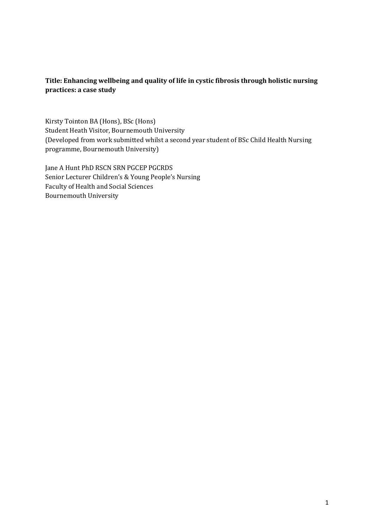# **Title: Enhancing wellbeing and quality of life in cystic fibrosis through holistic nursing practices: a case study**

Kirsty Tointon BA (Hons), BSc (Hons) Student Heath Visitor, Bournemouth University (Developed from work submitted whilst a second year student of BSc Child Health Nursing programme, Bournemouth University)

Jane A Hunt PhD RSCN SRN PGCEP PGCRDS Senior Lecturer Children's & Young People's Nursing Faculty of Health and Social Sciences Bournemouth University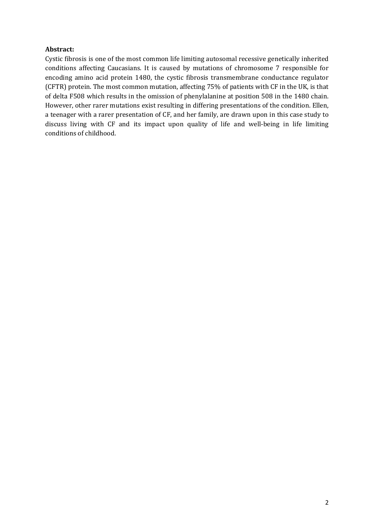# **Abstract:**

Cystic fibrosis is one of the most common life limiting autosomal recessive genetically inherited conditions affecting Caucasians. It is caused by mutations of chromosome 7 responsible for encoding amino acid protein 1480, the cystic fibrosis transmembrane conductance regulator (CFTR) protein. The most common mutation, affecting 75% of patients with CF in the UK, is that of delta F508 which results in the omission of phenylalanine at position 508 in the 1480 chain. However, other rarer mutations exist resulting in differing presentations of the condition. Ellen, a teenager with a rarer presentation of CF, and her family, are drawn upon in this case study to discuss living with CF and its impact upon quality of life and well-being in life limiting conditions of childhood.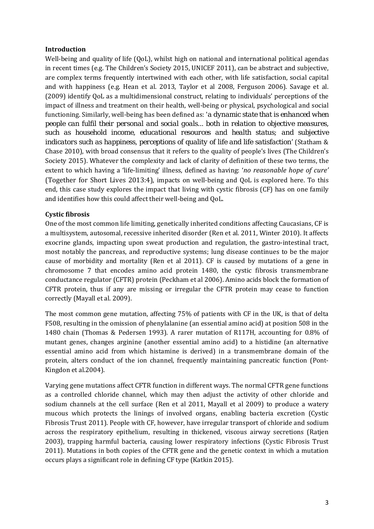# **Introduction**

Well-being and quality of life (QoL), whilst high on national and international political agendas in recent times (e.g. The Children's Society 2015, UNICEF 2011), can be abstract and subjective, are complex terms frequently intertwined with each other, with life satisfaction, social capital and with happiness (e.g. Hean et al. 2013, Taylor et al 2008, Ferguson 2006). Savage et al. (2009) identify QoL as a multidimensional construct, relating to individuals' perceptions of the impact of illness and treatment on their health, well-being or physical, psychological and social functioning. Similarly, well-being has been defined as: '*a dynamic state that is enhanced when people can fulfil their personal and social goals... both in relation to objective measures, such as household income, educational resources and health status; and subjective indicators such as happiness, perceptions of quality of life and life satisfaction*' (Statham & Chase 2010), with broad consensus that it refers to the quality of people's lives (The Children's Society 2015). Whatever the complexity and lack of clarity of definition of these two terms, the extent to which having a 'life-limiting' illness, defined as having: '*no reasonable hope of cure'* (Together for Short Lives 2013:4), impacts on well-being and QoL is explored here. To this end, this case study explores the impact that living with cystic fibrosis (CF) has on one family and identifies how this could affect their well-being and QoL.

# **Cystic fibrosis**

One of the most common life limiting, genetically inherited conditions affecting Caucasians, CF is a multisystem, autosomal, recessive inherited disorder (Ren et al. 2011, Winter 2010). It affects exocrine glands, impacting upon sweat production and regulation, the gastro-intestinal tract, most notably the pancreas, and reproductive systems; lung disease continues to be the major cause of morbidity and mortality (Ren et al 2011). CF is caused by mutations of a gene in chromosome 7 that encodes amino acid protein 1480, the cystic fibrosis transmembrane conductance regulator (CFTR) protein (Peckham et al 2006). Amino acids block the formation of CFTR protein, thus if any are missing or irregular the CFTR protein may cease to function correctly (Mayall et al. 2009).

The most common gene mutation, affecting 75% of patients with CF in the UK, is that of delta F508, resulting in the omission of phenylalanine (an essential amino acid) at position 508 in the 1480 chain (Thomas & Pedersen 1993). A rarer mutation of R117H, accounting for 0.8% of mutant genes, changes arginine (another essential amino acid) to a histidine (an alternative essential amino acid from which histamine is derived) in a transmembrane domain of the protein, alters conduct of the ion channel, frequently maintaining pancreatic function (Pont-Kingdon et al.2004).

Varying gene mutations affect CFTR function in different ways. The normal CFTR gene functions as a controlled chloride channel, which may then adjust the activity of other chloride and sodium channels at the cell surface (Ren et al 2011, Mayall et al 2009) to produce a watery mucous which protects the linings of involved organs, enabling bacteria excretion (Cystic Fibrosis Trust 2011). People with CF, however, have irregular transport of chloride and sodium across the respiratory epithelium, resulting in thickened, viscous airway secretions (Ratjen 2003), trapping harmful bacteria, causing lower respiratory infections (Cystic Fibrosis Trust 2011). Mutations in both copies of the CFTR gene and the genetic context in which a mutation occurs plays a significant role in defining CF type (Katkin 2015).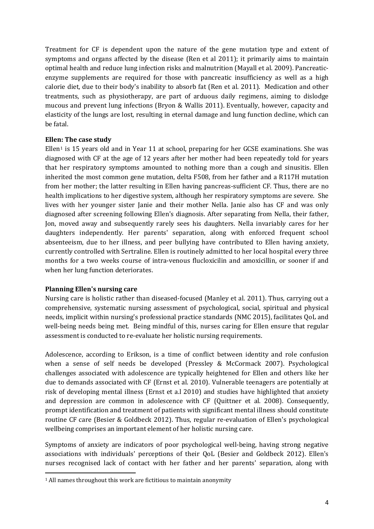Treatment for CF is dependent upon the nature of the gene mutation type and extent of symptoms and organs affected by the disease (Ren et al 2011); it primarily aims to maintain optimal health and reduce lung infection risks and malnutrition (Mayall et al. 2009). Pancreaticenzyme supplements are required for those with pancreatic insufficiency as well as a high calorie diet, due to their body's inability to absorb fat (Ren et al. 2011). Medication and other treatments, such as physiotherapy, are part of arduous daily regimens, aiming to dislodge mucous and prevent lung infections (Bryon & Wallis 2011). Eventually, however, capacity and elasticity of the lungs are lost, resulting in eternal damage and lung function decline, which can be fatal.

#### **Ellen: The case study**

Ellen<sup>[1](#page-3-0)</sup> is 15 years old and in Year 11 at school, preparing for her GCSE examinations. She was diagnosed with CF at the age of 12 years after her mother had been repeatedly told for years that her respiratory symptoms amounted to nothing more than a cough and sinusitis. Ellen inherited the most common gene mutation, delta F508, from her father and a R117H mutation from her mother; the latter resulting in Ellen having pancreas-sufficient CF. Thus, there are no health implications to her digestive system, although her respiratory symptoms are severe. She lives with her younger sister Janie and their mother Nella. Janie also has CF and was only diagnosed after screening following Ellen's diagnosis. After separating from Nella, their father, Jon, moved away and subsequently rarely sees his daughters. Nella invariably cares for her daughters independently. Her parents' separation, along with enforced frequent school absenteeism, due to her illness, and peer bullying have contributed to Ellen having anxiety, currently controlled with Sertraline. Ellen is routinely admitted to her local hospital every three months for a two weeks course of intra-venous flucloxicilin and amoxicillin, or sooner if and when her lung function deteriorates.

#### **Planning Ellen's nursing care**

 $\overline{a}$ 

Nursing care is holistic rather than diseased-focused (Manley et al. 2011). Thus, carrying out a comprehensive, systematic nursing assessment of psychological, social, spiritual and physical needs, implicit within nursing's professional practice standards (NMC 2015), facilitates QoL and well-being needs being met. Being mindful of this, nurses caring for Ellen ensure that regular assessment is conducted to re-evaluate her holistic nursing requirements.

Adolescence, according to Erikson, is a time of conflict between identity and role confusion when a sense of self needs be developed (Pressley & McCormack 2007). Psychological challenges associated with adolescence are typically heightened for Ellen and others like her due to demands associated with CF (Ernst et al. 2010). Vulnerable teenagers are potentially at risk of developing mental illness (Ernst et a.l 2010) and studies have highlighted that anxiety and depression are common in adolescence with CF (Quittner et al. 2008). Consequently, prompt identification and treatment of patients with significant mental illness should constitute routine CF care (Besier & Goldbeck 2012). Thus, regular re-evaluation of Ellen's psychological wellbeing comprises an important element of her holistic nursing care.

Symptoms of anxiety are indicators of poor psychological well-being, having strong negative associations with individuals' perceptions of their QoL (Besier and Goldbeck 2012). Ellen's nurses recognised lack of contact with her father and her parents' separation, along with

<span id="page-3-0"></span><sup>&</sup>lt;sup>1</sup> All names throughout this work are fictitious to maintain anonymity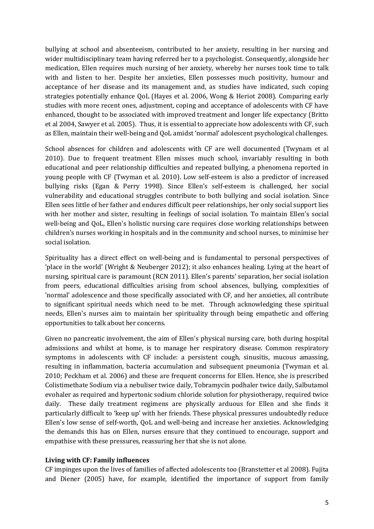bullying at school and absenteeism, contributed to her anxiety, resulting in her nursing and wider multidisciplinary team having referred her to a psychologist. Consequently, alongside her medication, Ellen requires much nursing of her anxiety, whereby her nurses took time to talk with and listen to her. Despite her anxieties, Ellen possesses much positivity, humour and acceptance of her disease and its management and, as studies have indicated, such coping strategies potentially enhance QoL (Hayes et al. 2006, Wong & Heriot 2008). Comparing early studies with more recent ones, adjustment, coping and acceptance of adolescents with CF have enhanced, thought to be associated with improved treatment and longer life expectancy (Britto et al 2004, Sawyer et al. 2005). Thus, it is essential to appreciate how adolescents with CF, such as Ellen, maintain their well-being and QoL amidst 'normal' adolescent psychological challenges.

School absences for children and adolescents with CF are well documented (Twynam et al 2010). Due to frequent treatment Ellen misses much school, invariably resulting in both educational and peer relationship difficulties and repeated bullying, a phenomena reported in young people with CF (Twyman et al. 2010). Low self-esteem is also a predictor of increased bullying risks (Egan & Perry 1998). Since Ellen's self-esteem is challenged, her social vulnerability and educational struggles contribute to both bullying and social isolation. Since Ellen sees little of her father and endures difficult peer relationships, her only social support lies with her mother and sister, resulting in feelings of social isolation. To maintain Ellen's social well-being and QoL, Ellen's holistic nursing care requires close working relationships between children's nurses working in hospitals and in the community and school nurses, to minimise her social isolation.

Spirituality has a direct effect on well-being and is fundamental to personal perspectives of 'place in the world' (Wright & Neuberger 2012); it also enhances healing. Lying at the heart of nursing, spiritual care is paramount (RCN 2011). Ellen's parents' separation, her social isolation from peers, educational difficulties arising from school absences, bullying, complexities of 'normal' adolescence and those specifically associated with CF, and her anxieties, all contribute to significant spiritual needs which need to be met. Through acknowledging these spiritual needs, Ellen's nurses aim to maintain her spirituality through being empathetic and offering opportunities to talk about her concerns.

Given no pancreatic involvement, the aim of Ellen's physical nursing care, both during hospital admissions and whilst at home, is to manage her respiratory disease. Common respiratory symptoms in adolescents with CF include: a persistent cough, sinusitis, mucous amassing, resulting in inflammation, bacteria accumulation and subsequent pneumonia (Twyman et al. 2010; Peckham et al. 2006) and these are frequent concerns for Ellen. Hence, she is prescribed Colistimethate Sodium via a nebuliser twice daily, Tobramycin podhaler twice daily, Salbutamol evohaler as required and hypertonic sodium chloride solution for physiotherapy, required twice daily. These daily treatment regimens are physically arduous for Ellen and she finds it particularly difficult to 'keep up' with her friends. These physical pressures undoubtedly reduce Ellen's low sense of self-worth, QoL and well-being and increase her anxieties. Acknowledging the demands this has on Ellen, nurses ensure that they continued to encourage, support and empathise with these pressures, reassuring her that she is not alone.

#### **Living with CF: Family influences**

CF impinges upon the lives of families of affected adolescents too (Branstetter et al 2008). Fujita and Diener (2005) have, for example, identified the importance of support from family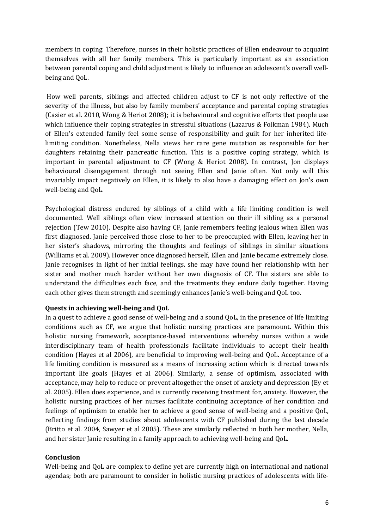members in coping. Therefore, nurses in their holistic practices of Ellen endeavour to acquaint themselves with all her family members. This is particularly important as an association between parental coping and child adjustment is likely to influence an adolescent's overall wellbeing and QoL.

How well parents, siblings and affected children adjust to CF is not only reflective of the severity of the illness, but also by family members' acceptance and parental coping strategies (Casier et al. 2010, Wong & Heriot 2008); it is behavioural and cognitive efforts that people use which influence their coping strategies in stressful situations (Lazarus & Folkman 1984). Much of Ellen's extended family feel some sense of responsibility and guilt for her inherited lifelimiting condition. Nonetheless, Nella views her rare gene mutation as responsible for her daughters retaining their pancreatic function. This is a positive coping strategy, which is important in parental adjustment to CF (Wong & Heriot 2008). In contrast, Jon displays behavioural disengagement through not seeing Ellen and Janie often. Not only will this invariably impact negatively on Ellen, it is likely to also have a damaging effect on Jon's own well-being and QoL.

Psychological distress endured by siblings of a child with a life limiting condition is well documented. Well siblings often view increased attention on their ill sibling as a personal rejection (Tew 2010). Despite also having CF, Janie remembers feeling jealous when Ellen was first diagnosed. Janie perceived those close to her to be preoccupied with Ellen, leaving her in her sister's shadows, mirroring the thoughts and feelings of siblings in similar situations (Williams et al. 2009). However once diagnosed herself, Ellen and Janie became extremely close. Janie recognises in light of her initial feelings, she may have found her relationship with her sister and mother much harder without her own diagnosis of CF. The sisters are able to understand the difficulties each face, and the treatments they endure daily together. Having each other gives them strength and seemingly enhances Janie's well-being and QoL too.

#### **Quests in achieving well-being and QoL**

In a quest to achieve a good sense of well-being and a sound QoL, in the presence of life limiting conditions such as CF, we argue that holistic nursing practices are paramount. Within this holistic nursing framework, acceptance-based interventions whereby nurses within a wide interdisciplinary team of health professionals facilitate individuals to accept their health condition (Hayes et al 2006), are beneficial to improving well-being and QoL. Acceptance of a life limiting condition is measured as a means of increasing action which is directed towards important life goals (Hayes et al 2006). Similarly, a sense of optimism, associated with acceptance, may help to reduce or prevent altogether the onset of anxiety and depression (Ey et al. 2005). Ellen does experience, and is currently receiving treatment for, anxiety. However, the holistic nursing practices of her nurses facilitate continuing acceptance of her condition and feelings of optimism to enable her to achieve a good sense of well-being and a positive QoL, reflecting findings from studies about adolescents with CF published during the last decade (Britto et al. 2004, Sawyer et al 2005). These are similarly reflected in both her mother, Nella, and her sister Janie resulting in a family approach to achieving well-being and QoL.

#### **Conclusion**

Well-being and QoL are complex to define yet are currently high on international and national agendas; both are paramount to consider in holistic nursing practices of adolescents with life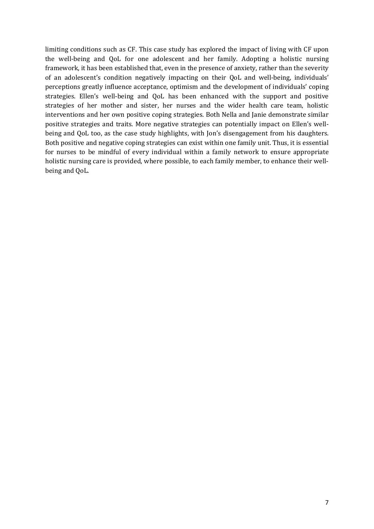limiting conditions such as CF. This case study has explored the impact of living with CF upon the well-being and QoL for one adolescent and her family. Adopting a holistic nursing framework, it has been established that, even in the presence of anxiety, rather than the severity of an adolescent's condition negatively impacting on their QoL and well-being, individuals' perceptions greatly influence acceptance, optimism and the development of individuals' coping strategies. Ellen's well-being and QoL has been enhanced with the support and positive strategies of her mother and sister, her nurses and the wider health care team, holistic interventions and her own positive coping strategies. Both Nella and Janie demonstrate similar positive strategies and traits. More negative strategies can potentially impact on Ellen's wellbeing and QoL too, as the case study highlights, with Jon's disengagement from his daughters. Both positive and negative coping strategies can exist within one family unit. Thus, it is essential for nurses to be mindful of every individual within a family network to ensure appropriate holistic nursing care is provided, where possible, to each family member, to enhance their wellbeing and QoL.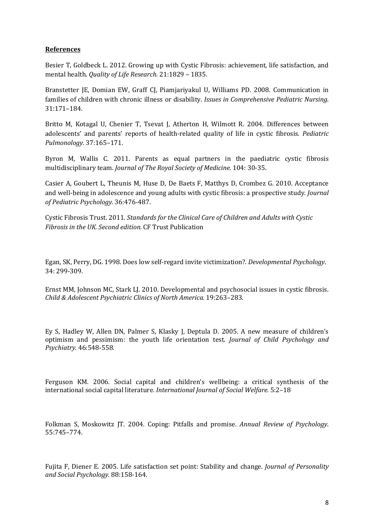# **References**

Besier T, Goldbeck L. 2012. Growing up with Cystic Fibrosis: achievement, life satisfaction, and mental health. *Quality of Life Research.* 21:1829 – 1835.

Branstetter JE, Domian EW, Graff CJ, Piamjariyakul U, Williams PD. 2008. Communication in families of children with chronic illness or disability. *Issues in Comprehensive Pediatric Nursing*. 31:171–184.

Britto M, Kotagal U, Chenier T, Tsevat J, Atherton H, Wilmott R. 2004. Differences between adolescents' and parents' reports of health-related quality of life in cystic fibrosis*. Pediatric Pulmonology.* 37:165–171.

Byron M, Wallis C. 2011. Parents as equal partners in the paediatric cystic fibrosis multidisciplinary team. *Journal of The Royal Society of Medicine.* 104: 30-35.

Casier A, Goubert L, Theunis M, Huse D, De Baets F, Matthys D, Crombez G. 2010. Acceptance and well-being in adolescence and young adults with cystic fibrosis: a prospective study. *Journal of Pediatric Psychology.* 36:476-487.

Cystic Fibrosis Trust. 2011. *Standards for the Clinical Care of Children and Adults with Cystic Fibrosis in the UK. Second edition.* CF Trust Publication

Egan, SK, Perry, DG. 1998. Does low self-regard invite victimization?. *Developmental Psychology*. 34: 299-309.

Ernst MM, Johnson MC, Stark LJ. 2010. Developmental and psychosocial issues in cystic fibrosis. *Child & Adolescent Psychiatric Clinics of North America.* 19:263–283.

Ey S, Hadley W, Allen DN, Palmer S, Klasky J, Deptula D. 2005. A new measure of children's optimism and pessimism: the youth life orientation test. *Journal of Child Psychology and Psychiatry.* 46:548-558.

Ferguson KM. 2006. Social capital and children's wellbeing: a critical synthesis of the international social capital literature. *International Journal of Social Welfare.* 5:2–18

Folkman S, Moskowitz JT. 2004. Coping: Pitfalls and promise. *Annual Review of Psychology*. 55:745–774.

Fujita F, Diener E. 2005. Life satisfaction set point: Stability and change. *Journal of Personality and Social Psychology.* 88:158-164.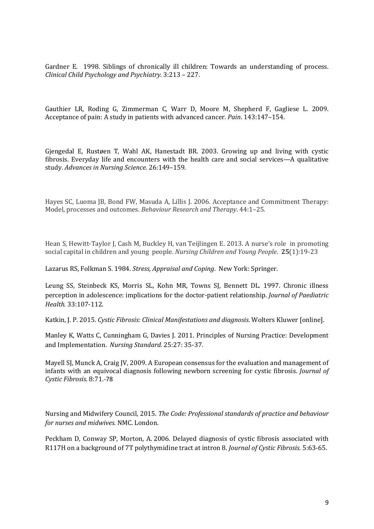Gardner E. 1998. Siblings of chronically ill children: Towards an understanding of process. *Clinical Child Psychology and Psychiatry.* 3:213 – 227.

Gauthier LR, Roding G, Zimmerman C, Warr D, Moore M, Shepherd F, Gagliese L. 2009. Acceptance of pain: A study in patients with advanced cancer. *Pain*. 143:147–154.

Gjengedal E, Rustøen T, Wahl AK, Hanestadt BR. 2003. Growing up and living with cystic fibrosis. Everyday life and encounters with the health care and social services—A qualitative study. *Advances in Nursing Science*. 26:149–159.

Hayes SC, Luoma JB, Bond FW, Masuda A, Lillis J. 2006. Acceptance and Commitment Therapy: Model, processes and outcomes. *Behaviour Research and Therapy*. 44:1–25.

Hean S, Hewitt-Taylor J, Cash M, Buckley H, van Teijlingen E. 2013. A nurse's role in promoting social capital in children and young people. *Nursing Children and Young People*. **25**(1):19-23

Lazarus RS, Folkman S. 1984. *Stress, Appraisal and Coping*. New York: Springer.

Leung SS, Steinbeck KS, Morris SL, Kohn MR, Towns SJ, Bennett DL. 1997. Chronic illness perception in adolescence: implications for the doctor-patient relationship. *Journal of Paediatric Health.* 33:107-112.

Katkin, J. P. 2015. *Cystic Fibrosis: Clinical Manifestations and diagnosis*. Wolters Kluwer [online].

Manley K, Watts C, Cunningham G, Davies J. 2011. Principles of Nursing Practice: Development and Implementation. *Nursing Standard.* 25:27: 35-37.

[Mayell SJ, Munck A, Craig JV, 2009. A European consensus for the evaluation and management of](http://www.uptodate.com/contents/cystic-fibrosis-clinical-manifestations-and-diagnosis/abstract/11)  [infants with an equivocal diagnosis following newborn screening for cystic fibrosis.](http://www.uptodate.com/contents/cystic-fibrosis-clinical-manifestations-and-diagnosis/abstract/11) *Journal of [Cystic Fibrosis](http://www.uptodate.com/contents/cystic-fibrosis-clinical-manifestations-and-diagnosis/abstract/11)*. 8:71.-78

Nursing and Midwifery Council, 2015. *The Code: Professional standards of practice and behaviour for nurses and midwives.* NMC. London.

Peckham D, Conway SP, Morton, A. 2006*.* Delayed diagnosis of cystic fibrosis associated with R117H on a background of 7T polythymidine tract at intron 8. *Journal of Cystic Fibrosis*. 5:63-65.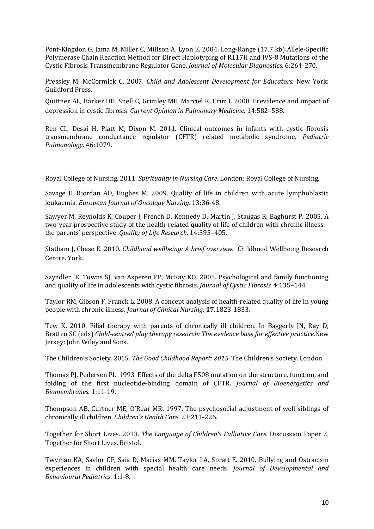Pont-Kingdon G, Jama M, Miller C, Millson A, Lyon E. 2004. Long-Range (17.7 kb) Allele-Specific Polymerase Chain Reaction Method for Direct Haplotyping of R117H and IVS-8 Mutations of the Cystic Fibrosis Transmembrane Regulator Gene. *Journal of Molecular Diagnostics.* 6:264-270.

Pressley M, McCormick C. 2007. *Child and Adolescent Development for Educators.* New York: Guildford Press.

Quittner AL, Barker DH, Snell C, Grimley ME, Marciel K, Cruz I. 2008. Prevalence and impact of depression in cystic fibrosis. *Current Opinion in Pulmonary Medicine*. 14:582–588.

[Ren CL, Desai H, Platt M, Dixon M. 2011. Clinical outcomes in infants with cystic fibrosis](http://www.uptodate.com/contents/cystic-fibrosis-clinical-manifestations-and-diagnosis/abstract/10)  [transmembrane conductance regulator \(CFTR\) related metabolic syndrome.](http://www.uptodate.com/contents/cystic-fibrosis-clinical-manifestations-and-diagnosis/abstract/10) *Pediatric [Pulmonology](http://www.uptodate.com/contents/cystic-fibrosis-clinical-manifestations-and-diagnosis/abstract/10)*. 46:1079.

Royal College of Nursing. 2011. *Spirituality in Nursing Care.* London: Royal College of Nursing.

Savage E, Riordan AO, Hughes M. 2009. Quality of life in children with acute lymphoblastic leukaemia. *European Journal of Oncology Nursing*. 13**:**36-48.

Sawyer M, Reynolds K, Couper J, French D, Kennedy D, Martin J, Staugas R, Baghurst P. 2005. A two-year prospective study of the health-related quality of life of children with chronic illness – the parents' perspective. *Quality of Life Research.* 14:395–405.

Statham J, Chase E. 2010. *Childhood wellbeing: A brief overview.* Childhood Wellbeing Research Centre. York.

Szyndler JE, Towns SJ, van Asperen PP, McKay KO. 2005. Psychological and family functioning and quality of life in adolescents with cystic fibrosis. *Journal of Cystic Fibrosis*. 4:135–144.

Taylor RM, Gibson F, Franck L. 2008. A concept analysis of health-related quality of life in young people with chronic illness. *Journal of Clinical Nursing*. **17***:*1823-1833.

Tew K. 2010. Filial therapy with parents of chronically ill children. In Baggerly JN, Ray D, Bratten SC (eds) *Child-centred play therapy research: The evidence base for effective practice.*New Jersey: John Wiley and Sons.

The Children's Society. 2015. *The Good Childhood Report: 2015*. The Children's Society. London.

Thomas PJ, Pedersen PL. 1993. Effects of the delta F508 mutation on the structure, function, and folding of the first nucleotide-binding domain of CFTR. *Journal of Bioenergetics and Biomembranes.* 1:11-19.

Thompson AB, Curtner ME, O'Rear MR. 1997. The psychosocial adjustment of well siblings of chronically ill children. *Children's Health Care.* 23:211-226.

Together for Short Lives. 2013. *The Language of Children's Palliative Care*. Discussion Paper 2. Together for Short Lives. Bristol.

Twyman KA, Savlor CF, Saia D, Macias MM, Taylor LA, Spratt E. 2010. Bullying and Ostracism experiences in children with special health care needs. *Journal of Developmental and Behavioural Pediatrics.* 1:1-8.